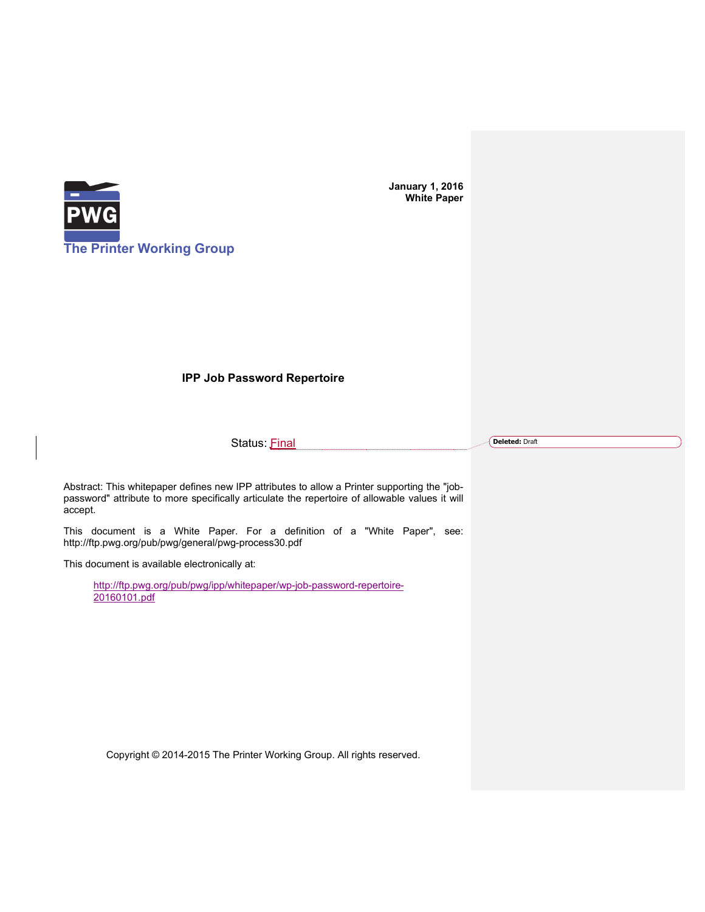

**January 1, 2016 White Paper**

## **IPP Job Password Repertoire**

Status: Final

**Deleted:** Draft

Abstract: This whitepaper defines new IPP attributes to allow a Printer supporting the "jobpassword" attribute to more specifically articulate the repertoire of allowable values it will accept.

This document is a White Paper. For a definition of a "White Paper", see: http://ftp.pwg.org/pub/pwg/general/pwg-process30.pdf

This document is available electronically at:

http://ftp.pwg.org/pub/pwg/ipp/whitepaper/wp-job-password-repertoire-20160101.pdf

Copyright © 2014-2015 The Printer Working Group. All rights reserved.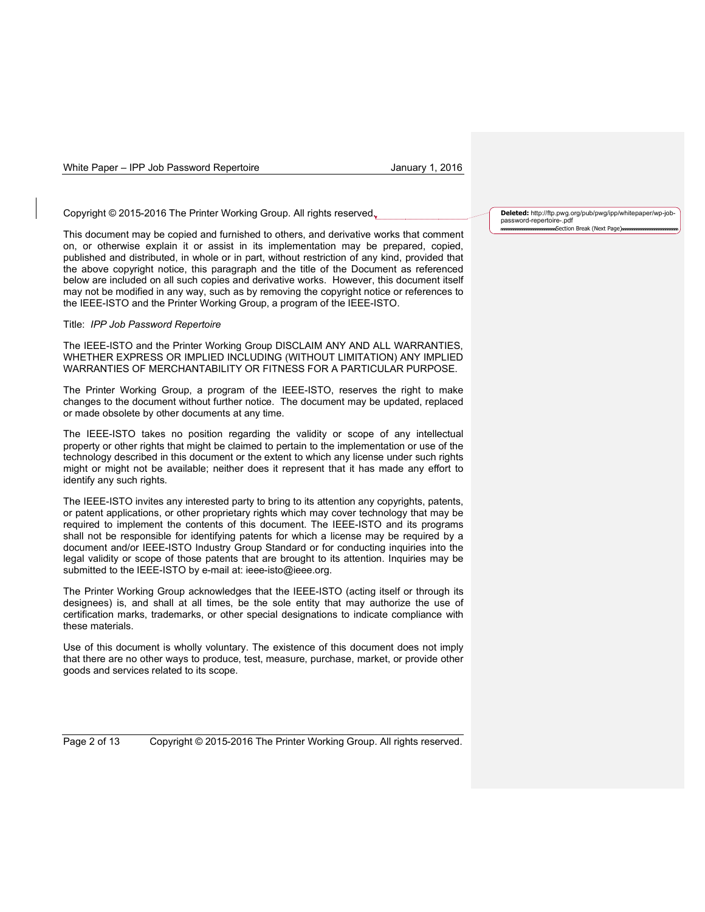Copyright © 2015-2016 The Printer Working Group. All rights reserved.

This document may be copied and furnished to others, and derivative works that comment on, or otherwise explain it or assist in its implementation may be prepared, copied, published and distributed, in whole or in part, without restriction of any kind, provided that the above copyright notice, this paragraph and the title of the Document as referenced below are included on all such copies and derivative works. However, this document itself may not be modified in any way, such as by removing the copyright notice or references to the IEEE-ISTO and the Printer Working Group, a program of the IEEE-ISTO.

#### Title: *IPP Job Password Repertoire*

The IEEE-ISTO and the Printer Working Group DISCLAIM ANY AND ALL WARRANTIES, WHETHER EXPRESS OR IMPLIED INCLUDING (WITHOUT LIMITATION) ANY IMPLIED WARRANTIES OF MERCHANTABILITY OR FITNESS FOR A PARTICULAR PURPOSE.

The Printer Working Group, a program of the IEEE-ISTO, reserves the right to make changes to the document without further notice. The document may be updated, replaced or made obsolete by other documents at any time.

The IEEE-ISTO takes no position regarding the validity or scope of any intellectual property or other rights that might be claimed to pertain to the implementation or use of the technology described in this document or the extent to which any license under such rights might or might not be available; neither does it represent that it has made any effort to identify any such rights.

The IEEE-ISTO invites any interested party to bring to its attention any copyrights, patents, or patent applications, or other proprietary rights which may cover technology that may be required to implement the contents of this document. The IEEE-ISTO and its programs shall not be responsible for identifying patents for which a license may be required by a document and/or IEEE-ISTO Industry Group Standard or for conducting inquiries into the legal validity or scope of those patents that are brought to its attention. Inquiries may be submitted to the IEEE-ISTO by e-mail at: ieee-isto@ieee.org.

The Printer Working Group acknowledges that the IEEE-ISTO (acting itself or through its designees) is, and shall at all times, be the sole entity that may authorize the use of certification marks, trademarks, or other special designations to indicate compliance with these materials.

Use of this document is wholly voluntary. The existence of this document does not imply that there are no other ways to produce, test, measure, purchase, market, or provide other goods and services related to its scope.

Page 2 of 13 Copyright © 2015-2016 The Printer Working Group. All rights reserved.

**Deleted:** http://ftp.pwg.org/pub/pwg/ipp/whitepaper/wp-jobpassword-repertoire-.pdf Section Break (Next Page)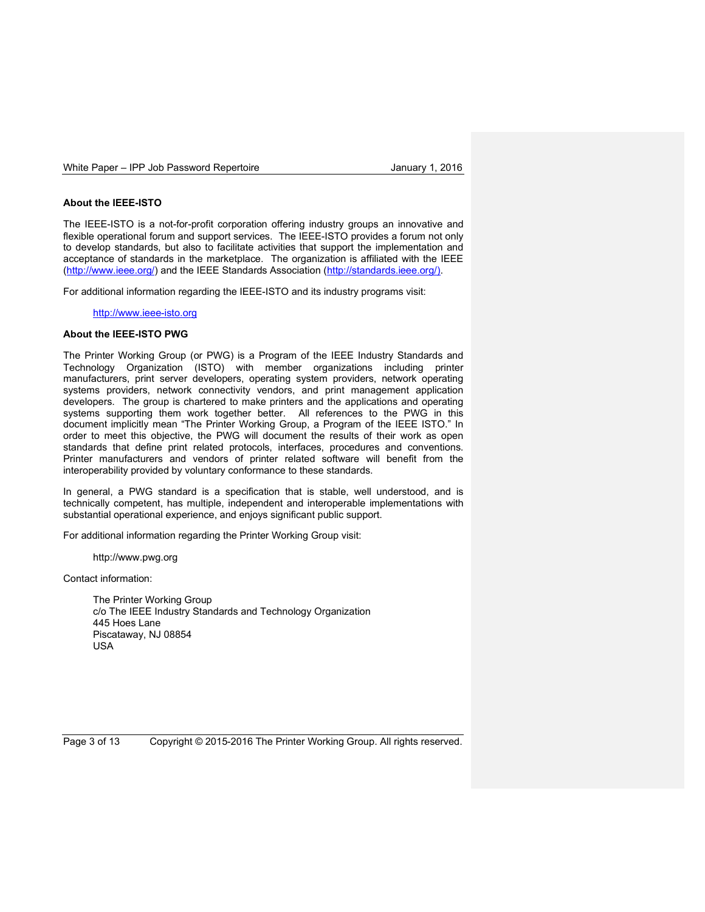#### **About the IEEE-ISTO**

The IEEE-ISTO is a not-for-profit corporation offering industry groups an innovative and flexible operational forum and support services. The IEEE-ISTO provides a forum not only to develop standards, but also to facilitate activities that support the implementation and acceptance of standards in the marketplace. The organization is affiliated with the IEEE (http://www.ieee.org/) and the IEEE Standards Association (http://standards.ieee.org/).

For additional information regarding the IEEE-ISTO and its industry programs visit:

http://www.ieee-isto.org

#### **About the IEEE-ISTO PWG**

The Printer Working Group (or PWG) is a Program of the IEEE Industry Standards and Technology Organization (ISTO) with member organizations including printer manufacturers, print server developers, operating system providers, network operating systems providers, network connectivity vendors, and print management application developers. The group is chartered to make printers and the applications and operating systems supporting them work together better. All references to the PWG in this document implicitly mean "The Printer Working Group, a Program of the IEEE ISTO." In order to meet this objective, the PWG will document the results of their work as open standards that define print related protocols, interfaces, procedures and conventions. Printer manufacturers and vendors of printer related software will benefit from the interoperability provided by voluntary conformance to these standards.

In general, a PWG standard is a specification that is stable, well understood, and is technically competent, has multiple, independent and interoperable implementations with substantial operational experience, and enjoys significant public support.

For additional information regarding the Printer Working Group visit:

http://www.pwg.org

Contact information:

The Printer Working Group c/o The IEEE Industry Standards and Technology Organization 445 Hoes Lane Piscataway, NJ 08854 USA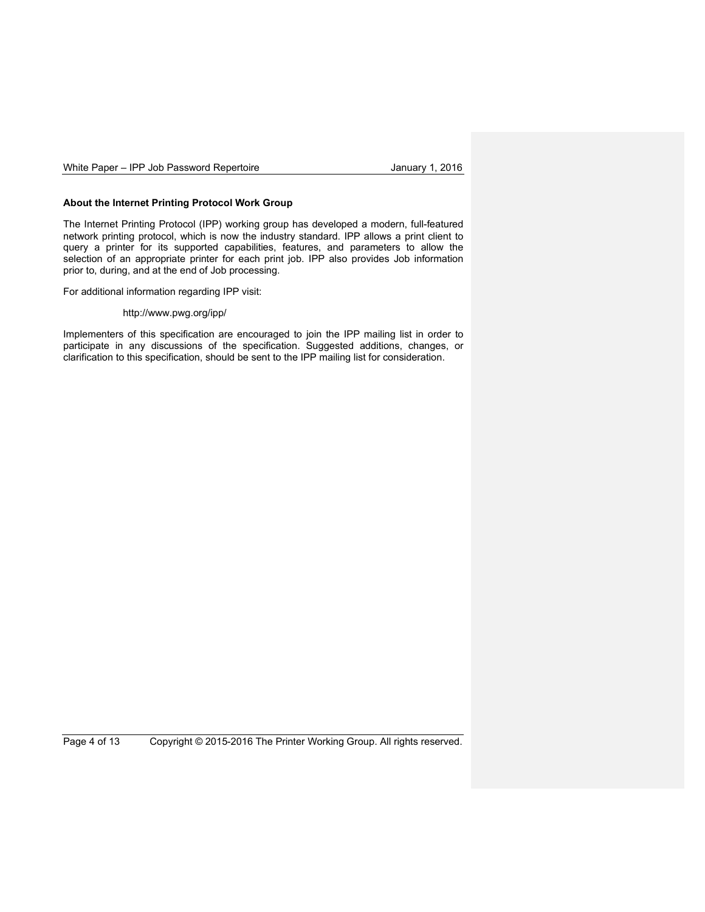#### **About the Internet Printing Protocol Work Group**

The Internet Printing Protocol (IPP) working group has developed a modern, full-featured network printing protocol, which is now the industry standard. IPP allows a print client to query a printer for its supported capabilities, features, and parameters to allow the selection of an appropriate printer for each print job. IPP also provides Job information prior to, during, and at the end of Job processing.

For additional information regarding IPP visit:

#### http://www.pwg.org/ipp/

Implementers of this specification are encouraged to join the IPP mailing list in order to participate in any discussions of the specification. Suggested additions, changes, or clarification to this specification, should be sent to the IPP mailing list for consideration.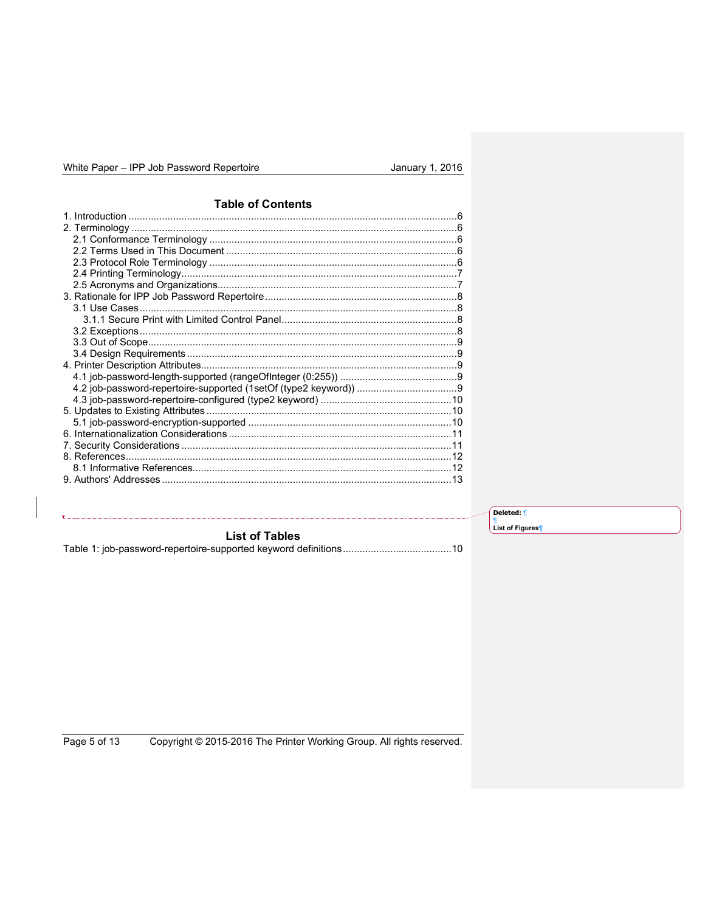# **Table of Contents**

|                | Deleted: 1                   |
|----------------|------------------------------|
|                | List of Figures <sup>1</sup> |
| List of Tables |                              |
|                |                              |
|                |                              |

Copyright © 2015-2016 The Printer Working Group. All rights reserved. Page 5 of 13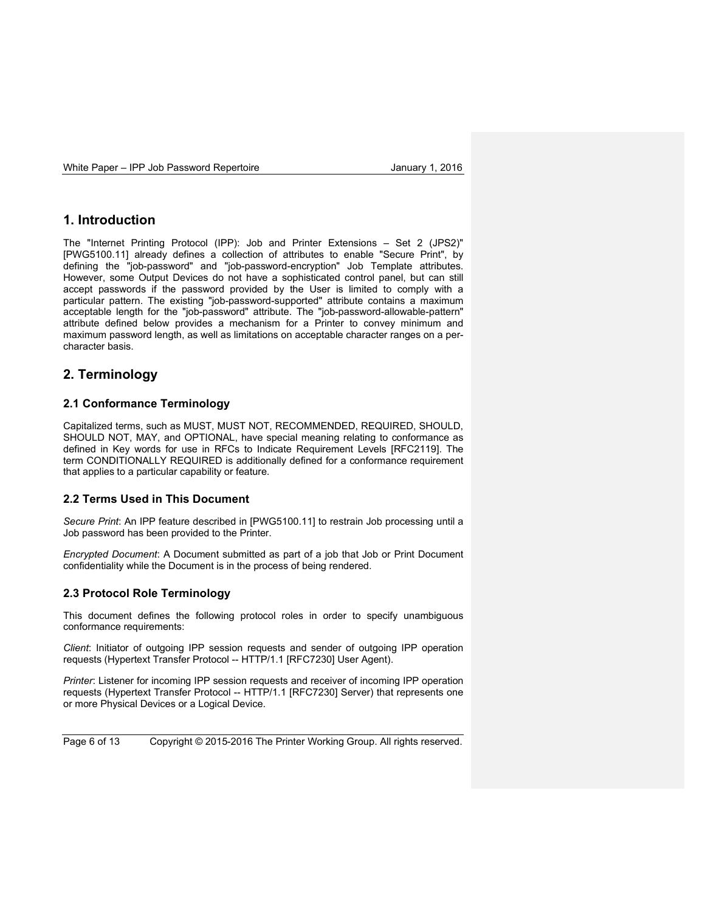## **1. Introduction**

The "Internet Printing Protocol (IPP): Job and Printer Extensions – Set 2 (JPS2)" [PWG5100.11] already defines a collection of attributes to enable "Secure Print", by defining the "job-password" and "job-password-encryption" Job Template attributes. However, some Output Devices do not have a sophisticated control panel, but can still accept passwords if the password provided by the User is limited to comply with a particular pattern. The existing "job-password-supported" attribute contains a maximum acceptable length for the "job-password" attribute. The "job-password-allowable-pattern" attribute defined below provides a mechanism for a Printer to convey minimum and maximum password length, as well as limitations on acceptable character ranges on a percharacter basis.

# **2. Terminology**

## **2.1 Conformance Terminology**

Capitalized terms, such as MUST, MUST NOT, RECOMMENDED, REQUIRED, SHOULD, SHOULD NOT, MAY, and OPTIONAL, have special meaning relating to conformance as defined in Key words for use in RFCs to Indicate Requirement Levels [RFC2119]. The term CONDITIONALLY REQUIRED is additionally defined for a conformance requirement that applies to a particular capability or feature.

## **2.2 Terms Used in This Document**

*Secure Print*: An IPP feature described in [PWG5100.11] to restrain Job processing until a Job password has been provided to the Printer.

*Encrypted Document*: A Document submitted as part of a job that Job or Print Document confidentiality while the Document is in the process of being rendered.

## **2.3 Protocol Role Terminology**

This document defines the following protocol roles in order to specify unambiguous conformance requirements:

*Client*: Initiator of outgoing IPP session requests and sender of outgoing IPP operation requests (Hypertext Transfer Protocol -- HTTP/1.1 [RFC7230] User Agent).

*Printer*: Listener for incoming IPP session requests and receiver of incoming IPP operation requests (Hypertext Transfer Protocol -- HTTP/1.1 [RFC7230] Server) that represents one or more Physical Devices or a Logical Device.

Page 6 of 13 Copyright © 2015-2016 The Printer Working Group. All rights reserved.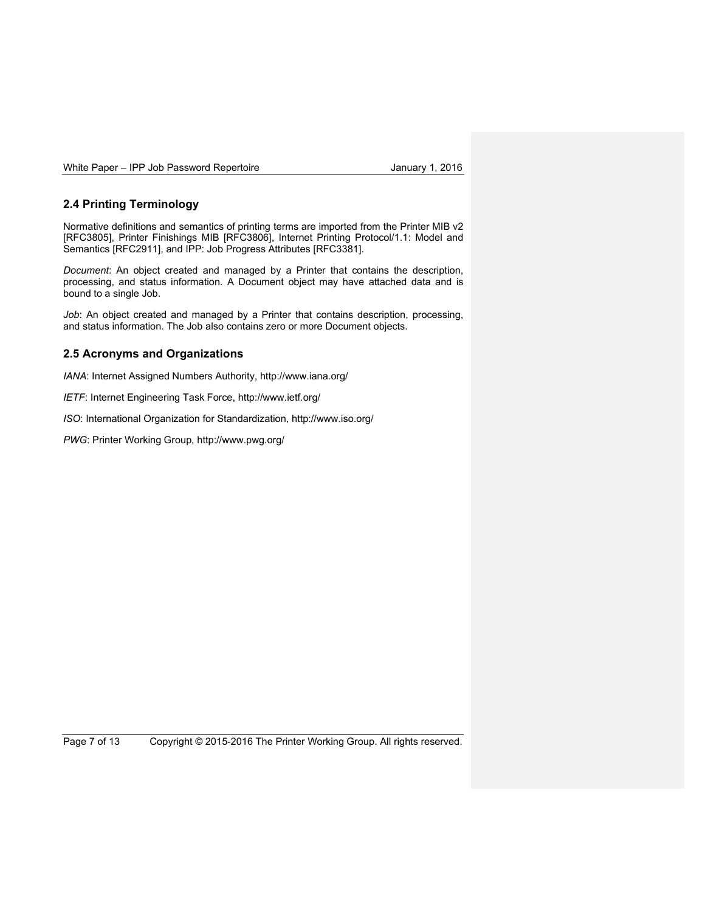## **2.4 Printing Terminology**

Normative definitions and semantics of printing terms are imported from the Printer MIB v2 [RFC3805], Printer Finishings MIB [RFC3806], Internet Printing Protocol/1.1: Model and Semantics [RFC2911], and IPP: Job Progress Attributes [RFC3381].

*Document*: An object created and managed by a Printer that contains the description, processing, and status information. A Document object may have attached data and is bound to a single Job.

*Job*: An object created and managed by a Printer that contains description, processing, and status information. The Job also contains zero or more Document objects.

## **2.5 Acronyms and Organizations**

*IANA*: Internet Assigned Numbers Authority, http://www.iana.org/

*IETF*: Internet Engineering Task Force, http://www.ietf.org/

*ISO*: International Organization for Standardization, http://www.iso.org/

*PWG*: Printer Working Group, http://www.pwg.org/

Page 7 of 13 Copyright © 2015-2016 The Printer Working Group. All rights reserved.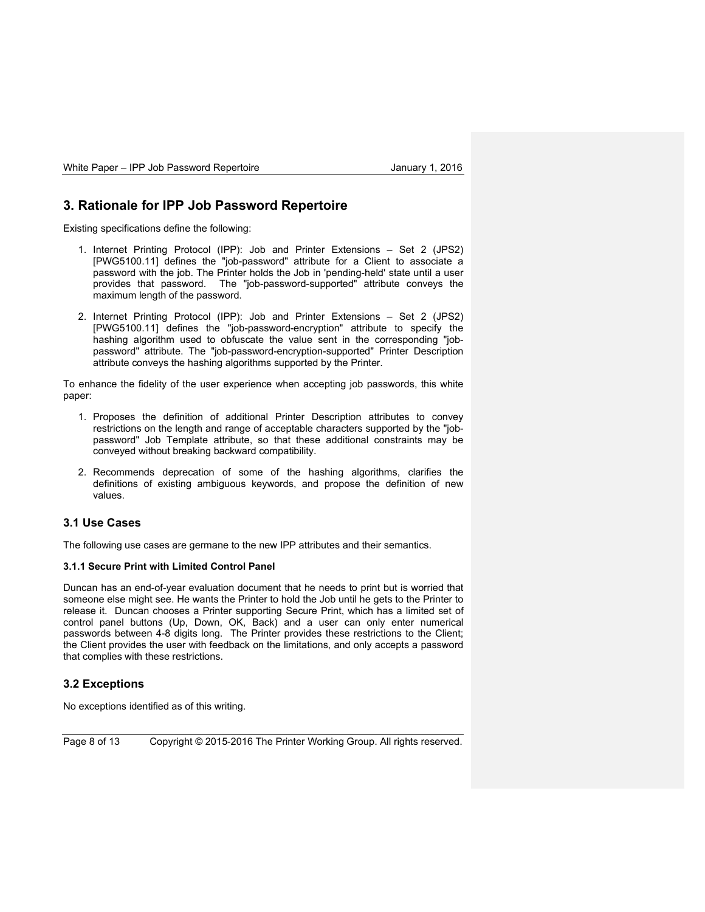## **3. Rationale for IPP Job Password Repertoire**

Existing specifications define the following:

- 1. Internet Printing Protocol (IPP): Job and Printer Extensions Set 2 (JPS2) [PWG5100.11] defines the "job-password" attribute for a Client to associate a password with the job. The Printer holds the Job in 'pending-held' state until a user provides that password. The "job-password-supported" attribute conveys the maximum length of the password.
- 2. Internet Printing Protocol (IPP): Job and Printer Extensions Set 2 (JPS2) [PWG5100.11] defines the "job-password-encryption" attribute to specify the hashing algorithm used to obfuscate the value sent in the corresponding "jobpassword" attribute. The "job-password-encryption-supported" Printer Description attribute conveys the hashing algorithms supported by the Printer.

To enhance the fidelity of the user experience when accepting job passwords, this white paper:

- 1. Proposes the definition of additional Printer Description attributes to convey restrictions on the length and range of acceptable characters supported by the "jobpassword" Job Template attribute, so that these additional constraints may be conveyed without breaking backward compatibility.
- 2. Recommends deprecation of some of the hashing algorithms, clarifies the definitions of existing ambiguous keywords, and propose the definition of new values.

#### **3.1 Use Cases**

The following use cases are germane to the new IPP attributes and their semantics.

#### **3.1.1 Secure Print with Limited Control Panel**

Duncan has an end-of-year evaluation document that he needs to print but is worried that someone else might see. He wants the Printer to hold the Job until he gets to the Printer to release it. Duncan chooses a Printer supporting Secure Print, which has a limited set of control panel buttons (Up, Down, OK, Back) and a user can only enter numerical passwords between 4-8 digits long. The Printer provides these restrictions to the Client; the Client provides the user with feedback on the limitations, and only accepts a password that complies with these restrictions.

## **3.2 Exceptions**

No exceptions identified as of this writing.

Page 8 of 13 Copyright © 2015-2016 The Printer Working Group. All rights reserved.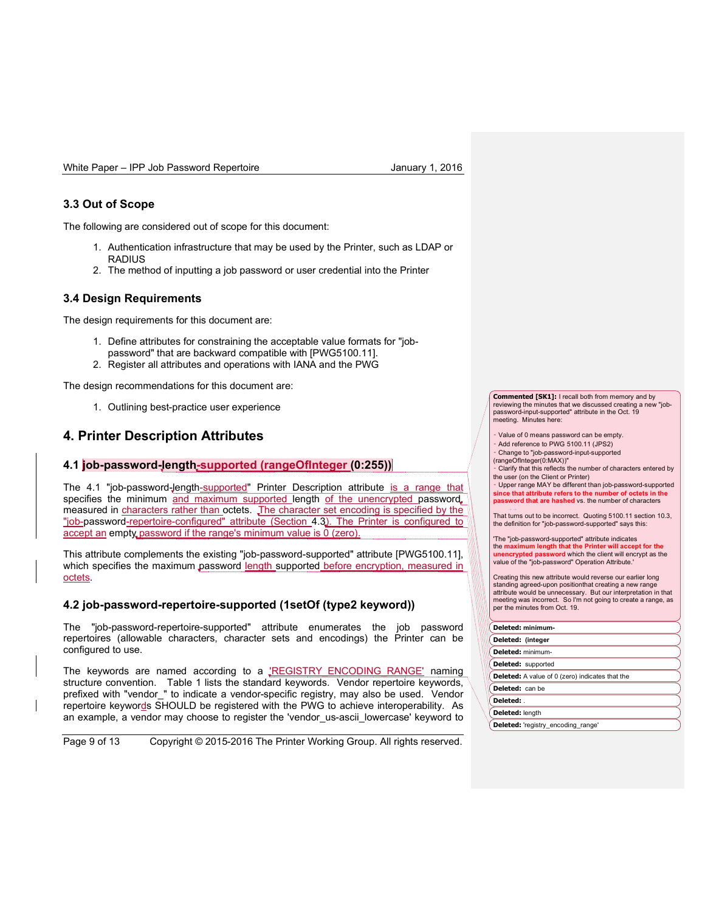## **3.3 Out of Scope**

The following are considered out of scope for this document:

- 1. Authentication infrastructure that may be used by the Printer, such as LDAP or **RADIUS**
- 2. The method of inputting a job password or user credential into the Printer

## **3.4 Design Requirements**

The design requirements for this document are:

- 1. Define attributes for constraining the acceptable value formats for "jobpassword" that are backward compatible with [PWG5100.11].
- 2. Register all attributes and operations with IANA and the PWG

The design recommendations for this document are:

1. Outlining best-practice user experience

## **4. Printer Description Attributes**

#### **4.1 job-password-length-supported (rangeOfInteger (0:255))**

The 4.1 "job-password-length-supported" Printer Description attribute is a range that specifies the minimum and maximum supported length of the unencrypted password, measured in characters rather than octets. The character set encoding is specified by the "job-password-repertoire-configured" attribute (Section 4.3). The Printer is configured to accept an empty password if the range's minimum value is  $\overline{0}$  (zero).

This attribute complements the existing "job-password-supported" attribute [PWG5100.11], which specifies the maximum password length supported before encryption, measured in octets.

## **4.2 job-password-repertoire-supported (1setOf (type2 keyword))**

The "job-password-repertoire-supported" attribute enumerates the job password repertoires (allowable characters, character sets and encodings) the Printer can be configured to use.

The keywords are named according to a 'REGISTRY ENCODING RANGE' naming structure convention. Table 1 lists the standard keywords. Vendor repertoire keywords, prefixed with "vendor\_" to indicate a vendor-specific registry, may also be used. Vendor repertoire keywords SHOULD be registered with the PWG to achieve interoperability. As an example, a vendor may choose to register the 'vendor us-ascii lowercase' keyword to

Page 9 of 13 Copyright © 2015-2016 The Printer Working Group. All rights reserved.

**Commented [SK1]:** I recall both from memory and by reviewing the minutes that we discussed creating a new "jobpassword-input-supported" attribute in the Oct. 19 meeting. Minutes here:

⁃ Value of 0 means password can be empty. Add reference to PWG 5100.11 (JPS2)

⁃ Change to "job-password-input-supported

(rangeOfInteger(0:MAX))" ⁃ Clarify that this reflects the number of characters entered by the user (on the Client or Printer)

⁃ Upper range MAY be different than job-password-supported **since that attribute refers to the number of octets in the paradish are hashed** vs. the number of characters

That turns out to be incorrect. Quoting 5100.11 section 10.3, the definition for "job-password-supported" says this:

'The "job-password-supported" attribute indicates the **maximum length that the Printer will accept for the unencrypted password** which the client will encrypt as the value of the "job-password" Operation Attribute.'

Creating this new attribute would reverse our earlier long standing agreed-upon positionthat creating a new range attribute would be unnecessary. But our interpretation in that meeting was incorrect. So I'm not going to create a range, as per the minutes from Oct. 19.

#### **Deleted: minimum-**

| Deleted: (integer                                      |  |
|--------------------------------------------------------|--|
| Deleted: minimum-                                      |  |
| Deleted: supported                                     |  |
| <b>Deleted:</b> A value of 0 (zero) indicates that the |  |
| Deleted: can be                                        |  |
| Deleted: .                                             |  |
| Deleted: length                                        |  |

**Deleted:** 'registry\_encoding\_range'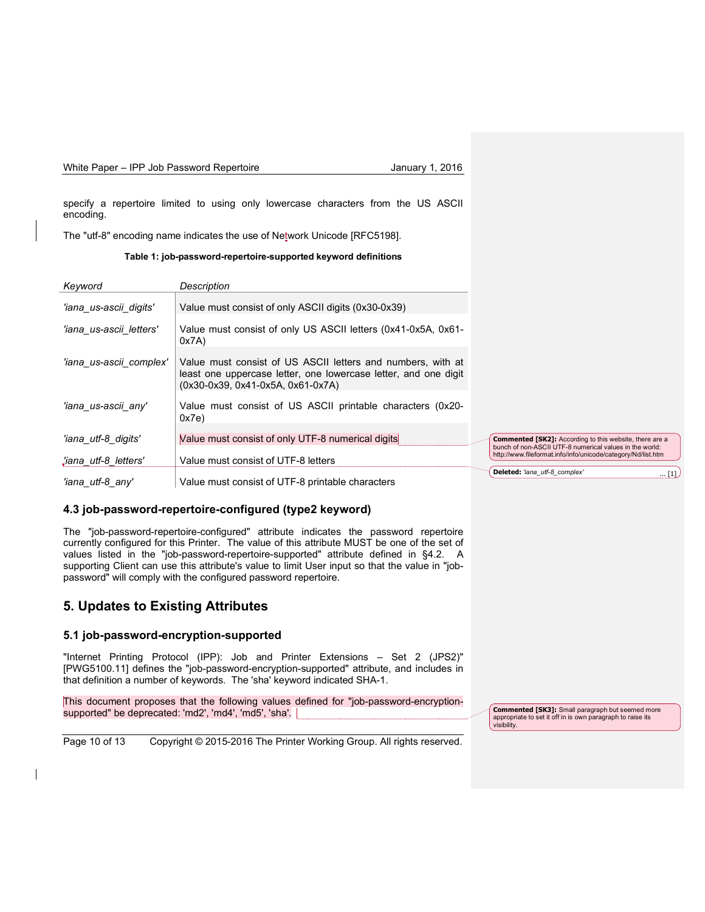specify a repertoire limited to using only lowercase characters from the US ASCII encoding.

The "utf-8" encoding name indicates the use of Network Unicode [RFC5198].

**Table 1: job-password-repertoire-supported keyword definitions**

| Keyword                 | Description                                                                                                                                                         |                                                                                                                           |
|-------------------------|---------------------------------------------------------------------------------------------------------------------------------------------------------------------|---------------------------------------------------------------------------------------------------------------------------|
| 'iana us-ascii digits'  | Value must consist of only ASCII digits (0x30-0x39)                                                                                                                 |                                                                                                                           |
| 'iana us-ascii letters' | Value must consist of only US ASCII letters (0x41-0x5A, 0x61-<br>0x7A)                                                                                              |                                                                                                                           |
| 'iana us-ascii complex' | Value must consist of US ASCII letters and numbers, with at<br>least one uppercase letter, one lowercase letter, and one digit<br>(0x30-0x39, 0x41-0x5A, 0x61-0x7A) |                                                                                                                           |
| 'iana_us-ascii_any'     | Value must consist of US ASCII printable characters (0x20-<br>0x7e                                                                                                  |                                                                                                                           |
| 'iana_utf-8_digits'     | Value must consist of only UTF-8 numerical digits                                                                                                                   | <b>Commented [SK2]:</b> According to this website, there are a<br>bunch of non-ASCII UTF-8 numerical values in the world: |
| liana utf-8 letters'    | Value must consist of UTF-8 letters                                                                                                                                 | http://www.fileformat.info/info/unicode/category/Nd/list.htm                                                              |
| 'iana utf-8 any'        | Value must consist of UTF-8 printable characters                                                                                                                    | Deleted: 'iana utf-8 complex'<br>$\ldots$ [1]                                                                             |

## **4.3 job-password-repertoire-configured (type2 keyword)**

The "job-password-repertoire-configured" attribute indicates the password repertoire currently configured for this Printer. The value of this attribute MUST be one of the set of values listed in the "job-password-repertoire-supported" attribute defined in §4.2. A supporting Client can use this attribute's value to limit User input so that the value in "jobpassword" will comply with the configured password repertoire.

# **5. Updates to Existing Attributes**

 $\overline{\phantom{a}}$ 

## **5.1 job-password-encryption-supported**

"Internet Printing Protocol (IPP): Job and Printer Extensions – Set 2 (JPS2)" [PWG5100.11] defines the "job-password-encryption-supported" attribute, and includes in that definition a number of keywords. The 'sha' keyword indicated SHA-1.

This document proposes that the following values defined for "job-password-encryptionsupported" be deprecated: 'md2', 'md4', 'md5', 'sha'.

Page 10 of 13 Copyright © 2015-2016 The Printer Working Group. All rights reserved.

**Commented [SK3]:** Small paragraph but seemed more appropriate to set it off in is own paragraph to raise its visibility.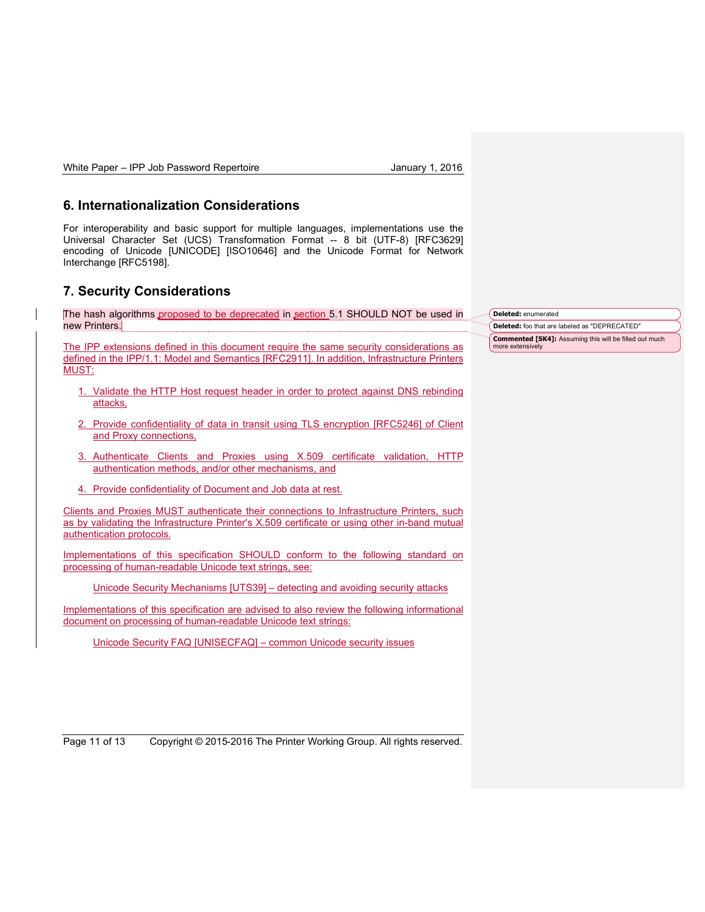## **6. Internationalization Considerations**

For interoperability and basic support for multiple languages, implementations use the Universal Character Set (UCS) Transformation Format -- 8 bit (UTF-8) [RFC3629] encoding of Unicode [UNICODE] [ISO10646] and the Unicode Format for Network Interchange [RFC5198].

# **7. Security Considerations**

The hash algorithms proposed to be deprecated in section 5.1 SHOULD NOT be used in new Printers.

The IPP extensions defined in this document require the same security considerations as defined in the IPP/1.1: Model and Semantics [RFC2911]. In addition, Infrastructure Printers MUST:

- 1. Validate the HTTP Host request header in order to protect against DNS rebinding attacks,
- 2. Provide confidentiality of data in transit using TLS encryption [RFC5246] of Client and Proxy connections,
- 3. Authenticate Clients and Proxies using X.509 certificate validation, HTTP authentication methods, and/or other mechanisms, and
- 4. Provide confidentiality of Document and Job data at rest.

Clients and Proxies MUST authenticate their connections to Infrastructure Printers, such as by validating the Infrastructure Printer's X.509 certificate or using other in-band mutual authentication protocols.

Implementations of this specification SHOULD conform to the following standard on processing of human-readable Unicode text strings, see:

Unicode Security Mechanisms [UTS39] – detecting and avoiding security attacks

Implementations of this specification are advised to also review the following informational document on processing of human-readable Unicode text strings:

Unicode Security FAQ [UNISECFAQ] – common Unicode security issues

**Deleted:** enumerated

**Deleted:** foo that are labeled as "DEPRECATED" **Commented [SK4]:** Assuming this will be filled out much more extensively

Page 11 of 13 Copyright © 2015-2016 The Printer Working Group. All rights reserved.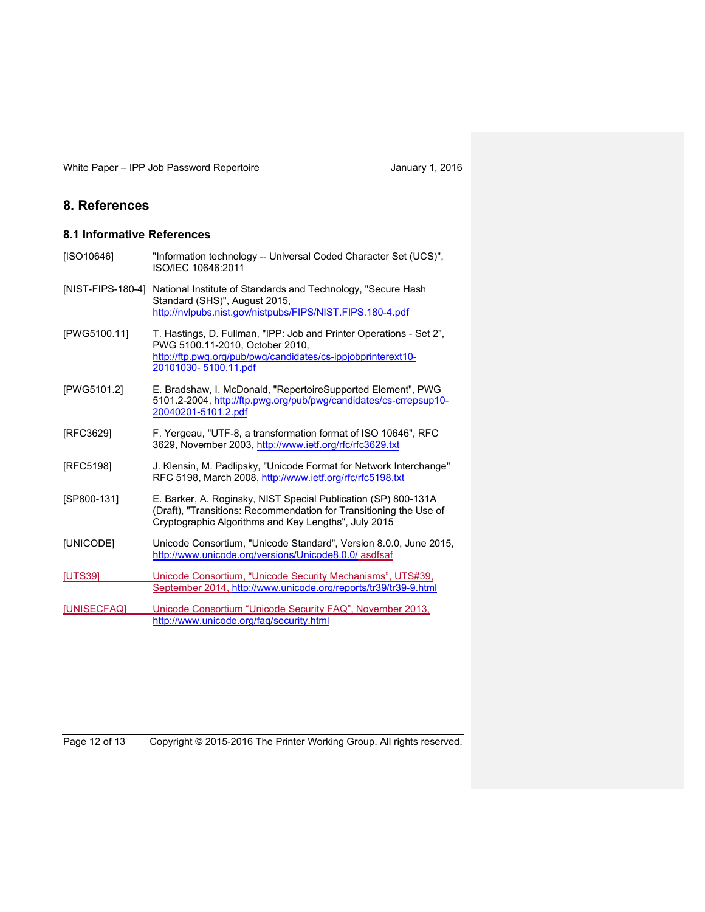# **8. References**

# **8.1 Informative References**

| [ISO10646]        | "Information technology -- Universal Coded Character Set (UCS)",<br>ISO/IEC 10646:2011                                                                                                         |
|-------------------|------------------------------------------------------------------------------------------------------------------------------------------------------------------------------------------------|
| [NIST-FIPS-180-4] | National Institute of Standards and Technology, "Secure Hash<br>Standard (SHS)", August 2015,<br>http://nvlpubs.nist.gov/nistpubs/FIPS/NIST.FIPS.180-4.pdf                                     |
| [PWG5100.11]      | T. Hastings, D. Fullman, "IPP: Job and Printer Operations - Set 2",<br>PWG 5100.11-2010, October 2010,<br>http://ftp.pwg.org/pub/pwg/candidates/cs-ippjobprinterext10-<br>20101030-5100.11.pdf |
| [PWG5101.2]       | E. Bradshaw, I. McDonald, "RepertoireSupported Element", PWG<br>5101.2-2004, http://ftp.pwg.org/pub/pwg/candidates/cs-crrepsup10-<br>20040201-5101.2.pdf                                       |
| [RFC3629]         | F. Yergeau, "UTF-8, a transformation format of ISO 10646", RFC<br>3629, November 2003, http://www.ietf.org/rfc/rfc3629.txt                                                                     |
| [RFC5198]         | J. Klensin, M. Padlipsky, "Unicode Format for Network Interchange"<br>RFC 5198, March 2008, http://www.ietf.org/rfc/rfc5198.txt                                                                |
| ISP800-1311       | E. Barker, A. Roginsky, NIST Special Publication (SP) 800-131A<br>(Draft), "Transitions: Recommendation for Transitioning the Use of<br>Cryptographic Algorithms and Key Lengths", July 2015   |
| [UNICODE]         | Unicode Consortium, "Unicode Standard", Version 8.0.0, June 2015,<br>http://www.unicode.org/versions/Unicode8.0.0/ asdfsaf                                                                     |
| <b>IUTS391</b>    | Unicode Consortium, "Unicode Security Mechanisms", UTS#39,<br>September 2014, http://www.unicode.org/reports/tr39/tr39-9.html                                                                  |
| [UNISECFAQ]       | Unicode Consortium "Unicode Security FAQ", November 2013,<br>http://www.unicode.org/fag/security.html                                                                                          |

Page 12 of 13 Copyright © 2015-2016 The Printer Working Group. All rights reserved.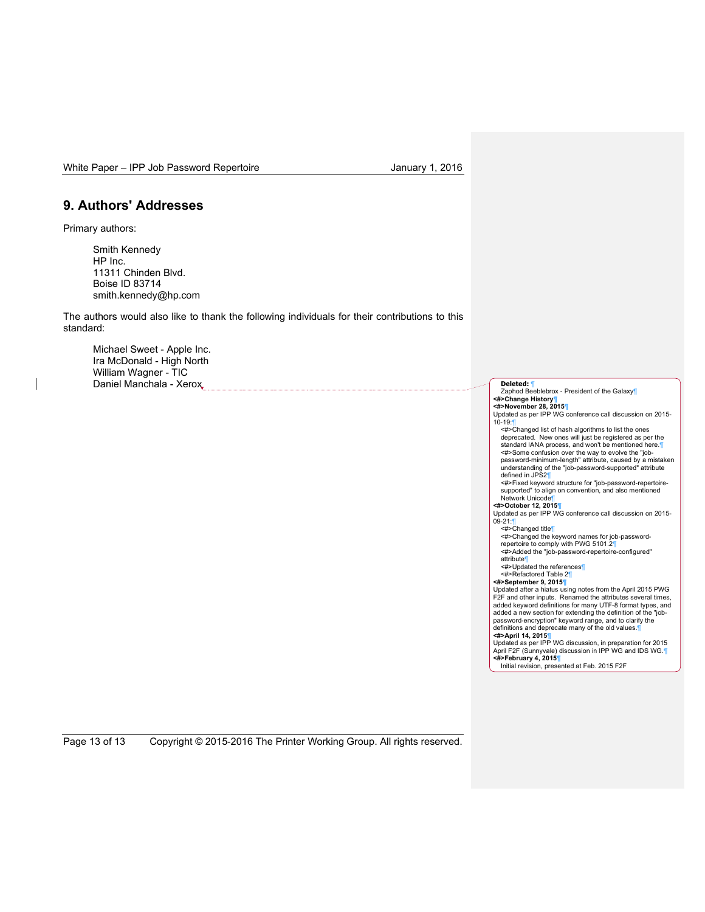# **9. Authors' Addresses**

Primary authors:

Smith Kennedy HP Inc. 11311 Chinden Blvd. Boise ID 83714 smith.kennedy@hp.com

The authors would also like to thank the following individuals for their contributions to this standard:

Michael Sweet - Apple Inc. Ira McDonald - High North William Wagner - TIC Daniel Manchala - Xerox **Deleted: Performance 2018** 

Zaphod Beeblebrox - President of the Galaxy¶ **<#>Change History¶ <#>November 28, 2015¶** Updated as per IPP WG conference call discussion on 2015- 10-19:¶ <#>Changed list of hash algorithms to list the ones deprecated. New ones will just be registered as per the standard IANA process, and won't be mentioned here.¶ <#>Some confusion over the way to evolve the "jobpassword-minimum-length" attribute, caused by a mistaken<br>understanding of the "job-password-supported" attribute<br>defined in JPS2¶ <#>Fixed keyword structure for "job-password-repertoiresupported" to align on convention, and also mentioned Network Unicode¶ **<#>October 12, 2015¶** Updated as per IPP WG conference call discussion on 2015- 09-21:¶ <#>Changed title¶ <#>Changed the keyword names for job-password-repertoire to comply with PWG 5101.2¶ <#>Added the "job-password-repertoire-configured" attribute¶ <#>Updated the references¶ <#>Refactored Table 2¶ **<#>September 9, 2015¶** Updated after a hiatus using notes from the April 2015 PWG F2F and other inputs. Renamed the attributes several times, added keyword definitions for many UTF-8 format types, and added a new section for extending the definition of the "job-password-encryption" keyword range, and to clarify the definitions and deprecate many of the old values.¶ **<#>April 14, 2015¶** Updated as per IPP WG discussion, in preparation for 2015 April F2F (Sunnyvale) discussion in IPP WG and IDS WG.¶<br>**<#>February 4, 2015**¶<br>Initial revision, presented at Feb. 2015 F2F

Page 13 of 13 Copyright © 2015-2016 The Printer Working Group. All rights reserved.